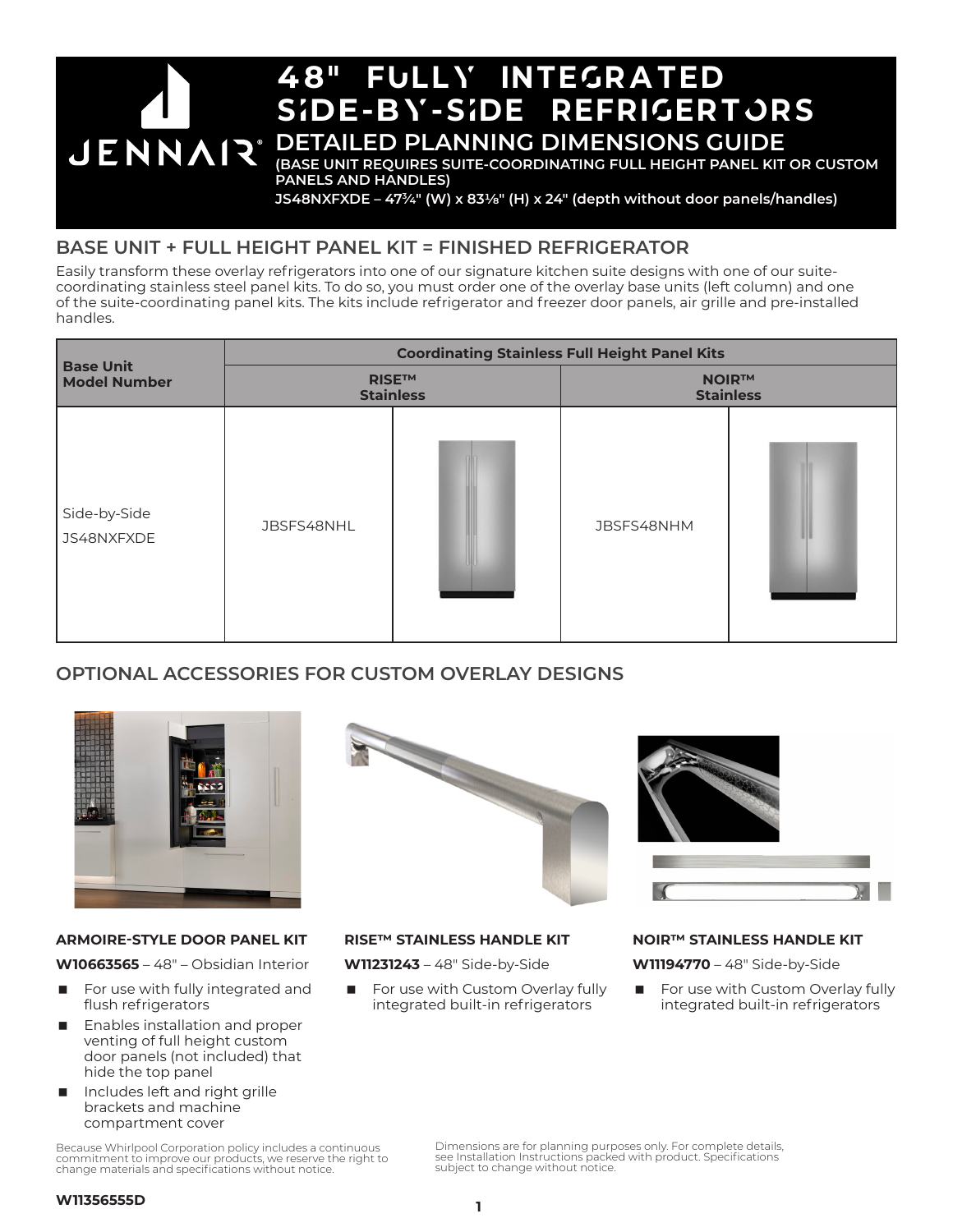

**JS48NXFXDE – 473⁄4" (W) x 831/8" (H) x 24" (depth without door panels/handles)**

### **BASE UNIT + FULL HEIGHT PANEL KIT = FINISHED REFRIGERATOR**

Easily transform these overlay refrigerators into one of our signature kitchen suite designs with one of our suitecoordinating stainless steel panel kits. To do so, you must order one of the overlay base units (left column) and one of the suite-coordinating panel kits. The kits include refrigerator and freezer door panels, air grille and pre-installed handles.

|                                         | <b>Coordinating Stainless Full Height Panel Kits</b> |  |                                  |  |  |
|-----------------------------------------|------------------------------------------------------|--|----------------------------------|--|--|
| <b>Base Unit</b><br><b>Model Number</b> | <b>RISE™</b><br><b>Stainless</b>                     |  | <b>NOIR™</b><br><b>Stainless</b> |  |  |
| Side-by-Side<br>JS48NXFXDE              | JBSFS48NHL                                           |  | JBSFS48NHM                       |  |  |

### **OPTIONAL ACCESSORIES FOR CUSTOM OVERLAY DESIGNS**



#### **ARMOIRE-STYLE DOOR PANEL KIT**

**W10663565** – 48" – Obsidian Interior

- For use with fully integrated and flush refrigerators
- Enables installation and proper venting of full height custom door panels (not included) that hide the top panel
- Includes left and right grille brackets and machine compartment cover

Because Whirlpool Corporation policy includes a continuous commitment to improve our products, we reserve the right to change materials and specifications without notice.





#### **RISE™ STAINLESS HANDLE KIT**

**W11231243** – 48" Side-by-Side

 For use with Custom Overlay fully integrated built-in refrigerators

#### **NOIR™ STAINLESS HANDLE KIT**

**W11194770** – 48" Side-by-Side

 For use with Custom Overlay fully integrated built-in refrigerators

Dimensions are for planning purposes only. For complete details, see Installation Instructions packed with product. Specifications subject to change without notice.

#### **W11356555D**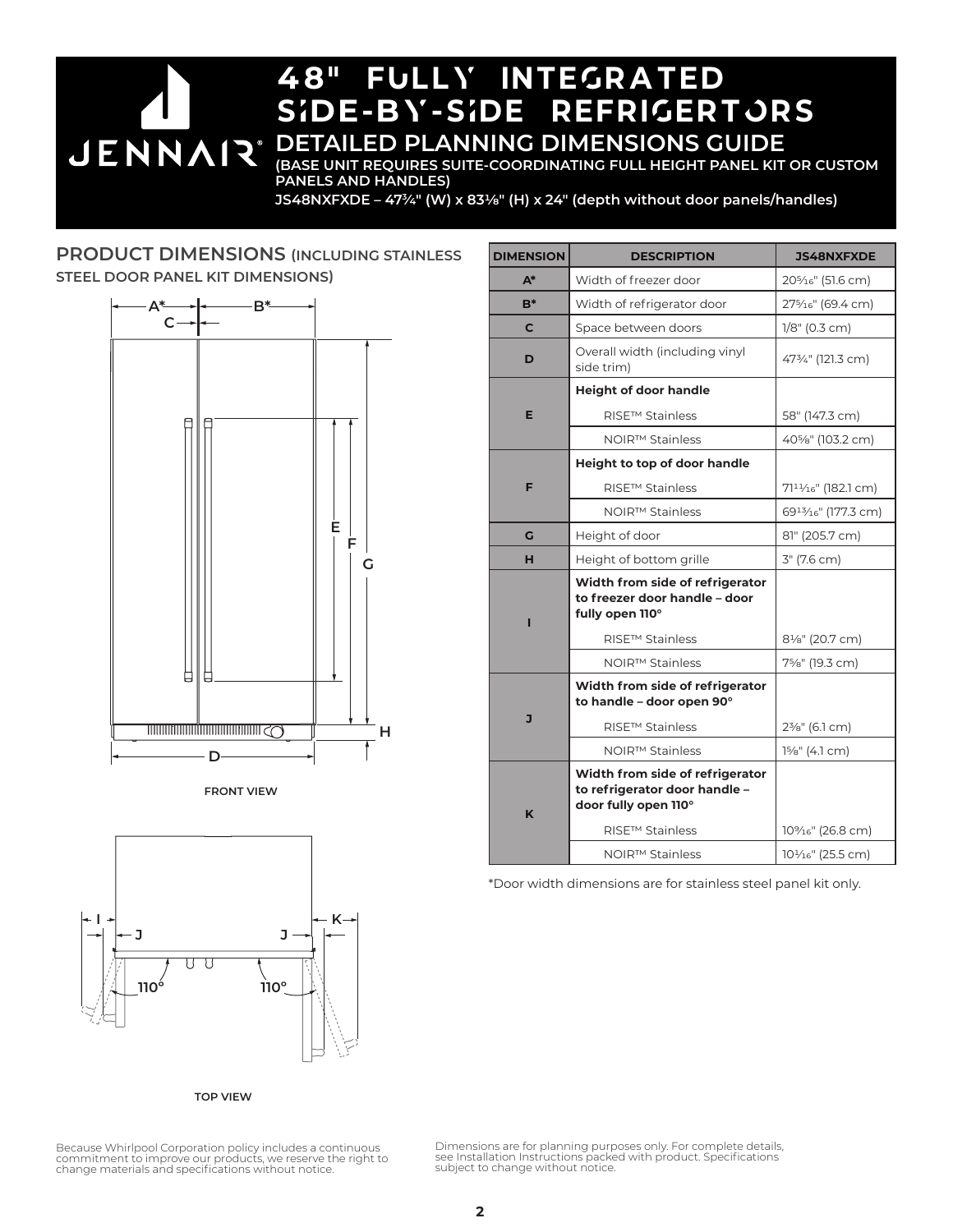#### 48" fUllY inteGrated sIde-bY-sIde refriGertOrs **DETAILED PLANNING DIMENSIONS GUIDE JENNAIR® (BASE UNIT REQUIRES SUITE-COORDINATING FULL HEIGHT PANEL KIT OR CUSTOM PANELS AND HANDLES)**

**JS48NXFXDE – 473⁄4" (W) x 831/8" (H) x 24" (depth without door panels/handles)**

#### **PRODUCT DIMENSIONS (INCLUDING STAINLESS STEEL DOOR PANEL KIT DIMENSIONS)**







**TOP VIEW**

| <b>DIMENSION</b> | <b>DESCRIPTION</b>                                                                       | <b>JS48NXFXDE</b>                             |
|------------------|------------------------------------------------------------------------------------------|-----------------------------------------------|
| $A^*$            | Width of freezer door                                                                    | 20 <sup>5</sup> / <sub>16</sub> " (51.6 cm)   |
| $B^*$            | Width of refrigerator door                                                               | 275/ <sub>16</sub> " (69.4 cm)                |
| C                | Space between doors                                                                      | $1/8$ " (0.3 cm)                              |
| D                | Overall width (including vinyl<br>side trim)                                             | 473/4" (121.3 cm)                             |
| Е                | <b>Height of door handle</b>                                                             |                                               |
|                  | RISE™ Stainless                                                                          | 58" (147.3 cm)                                |
|                  | NOIR <sup>™</sup> Stainless                                                              | 40%" (103.2 cm)                               |
| F                | Height to top of door handle                                                             |                                               |
|                  | <b>RISE™ Stainless</b>                                                                   | $7111/16$ " (182.1 cm)                        |
|                  | NOIR™ Stainless                                                                          | 6913/ <sub>16</sub> " (177.3 cm)              |
| G                | Height of door                                                                           | 81" (205.7 cm)                                |
| н                | Height of bottom grille                                                                  | 3" (7.6 cm)                                   |
| п                | Width from side of refrigerator<br>to freezer door handle - door<br>fully open 110°      |                                               |
|                  | RISE™ Stainless<br>NOIR™ Stainless                                                       | 81/ <sub>8</sub> " (20.7 cm)<br>7%" (19.3 cm) |
| J                | Width from side of refrigerator<br>to handle - door open 90°<br><b>RISE™ Stainless</b>   | 2 <sup>3</sup> / <sub>8</sub> " (6.1 cm)      |
|                  | NOIR™ Stainless                                                                          | $1\frac{5}{8}$ " (4.1 cm)                     |
| K                | Width from side of refrigerator<br>to refrigerator door handle -<br>door fully open 110° |                                               |
|                  | RISE™ Stainless                                                                          | 10% <sub>16</sub> " (26.8 cm)                 |
|                  | NOIR™ Stainless                                                                          | 101/ <sub>16</sub> " (25.5 cm)                |

\*Door width dimensions are for stainless steel panel kit only.

Because Whirlpool Corporation policy includes a continuous commitment to improve our products, we reserve the right to change materials and specifications without notice. Dimensions are for planning purposes only. For complete details, see Installation Instructions packed with product. Specifications subject to change without notice.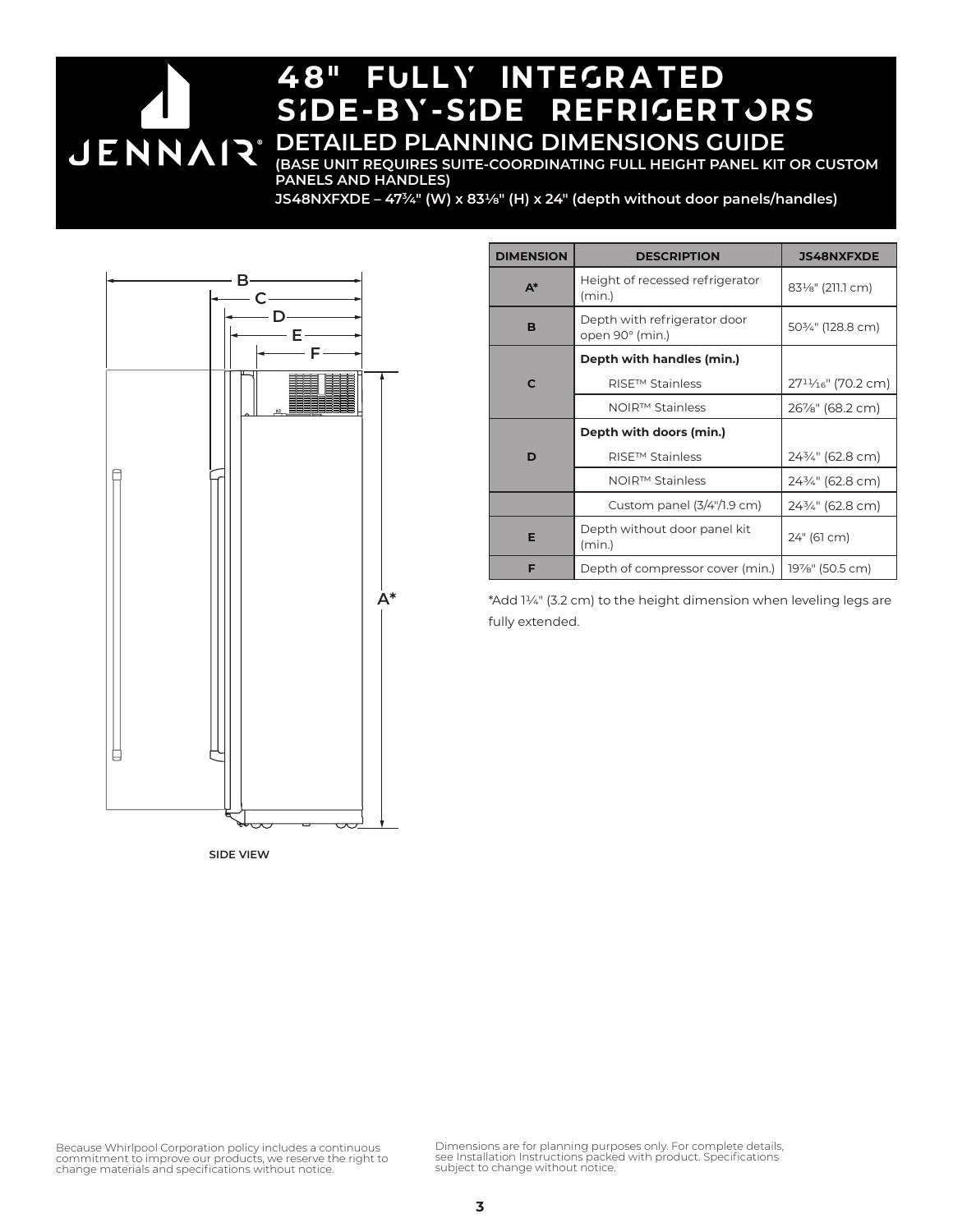# 48" fUllY inteGrated sIde-bY-sIde refriGertOrs **DETAILED PLANNING DIMENSIONS GUIDE JENNAIR®**

**(BASE UNIT REQUIRES SUITE-COORDINATING FULL HEIGHT PANEL KIT OR CUSTOM PANELS AND HANDLES)**

**JS48NXFXDE – 473⁄4" (W) x 831/8" (H) x 24" (depth without door panels/handles)**



**SIDE VIEW**

| <b>DIMENSION</b>        | <b>DESCRIPTION</b>                              | <b>JS48NXFXDE</b>     |
|-------------------------|-------------------------------------------------|-----------------------|
| $A^*$                   | Height of recessed refrigerator<br>(min.)       | 831/8" (211.1 cm)     |
| B                       | Depth with refrigerator door<br>open 90° (min.) | 503/4" (128.8 cm)     |
|                         | Depth with handles (min.)                       |                       |
| C                       | <b>RISE™ Stainless</b>                          | $2711/16$ " (70.2 cm) |
|                         | NOIR™ Stainless                                 | 26%" (68.2 cm)        |
| Depth with doors (min.) |                                                 |                       |
| D                       | <b>RISE™ Stainless</b>                          | 243/4" (62.8 cm)      |
|                         | NOIR™ Stainless                                 | 243⁄4" (62.8 cm)      |
|                         | Custom panel $(3/4)/1.9$ cm)                    | 243/4" (62.8 cm)      |
| Е                       | Depth without door panel kit<br>(min.)          | 24" (61 cm)           |
| F                       | Depth of compressor cover (min.)                | 19%" (50.5 cm)        |

\*Add 11/4" (3.2 cm) to the height dimension when leveling legs are fully extended.

Because Whirlpool Corporation policy includes a continuous<br>commitment to improve our products, we reserve the right to<br>change materials and specifications without notice.

Dimensions are for planning purposes only. For complete details, see Installation Instructions packed with product. Specifications subject to change without notice.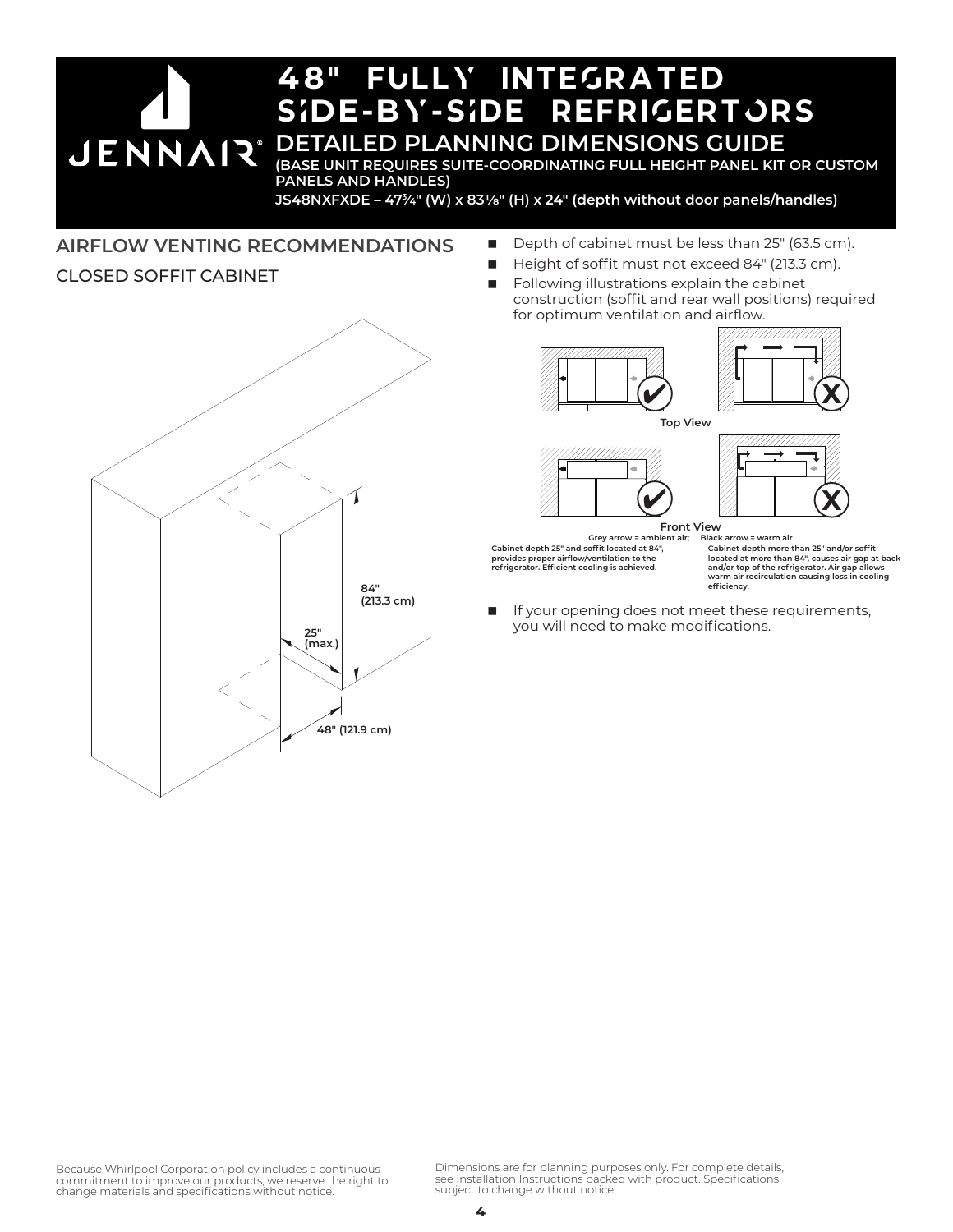#### 48" fUllY inteGrated sIde-bY-sIde refriGertOrs **DETAILED PLANNING DIMENSIONS GUIDE JENNAIR® (BASE UNIT REQUIRES SUITE-COORDINATING FULL HEIGHT PANEL KIT OR CUSTOM PANELS AND HANDLES)**

**JS48NXFXDE – 473⁄4" (W) x 831/8" (H) x 24" (depth without door panels/handles)**

#### **AIRFLOW VENTING RECOMMENDATIONS**

#### CLOSED SOFFIT CABINET

- $\overline{\phantom{a}}$ **84" (213.3 cm) 25" (max.) 48" (121.9 cm)**
- Depth of cabinet must be less than 25" (63.5 cm).
- Height of soffit must not exceed 84" (213.3 cm).
- Following illustrations explain the cabinet construction (soffit and rear wall positions) required for optimum ventilation and airflow.



■ If your opening does not meet these requirements, you will need to make modifications. **efficiency.**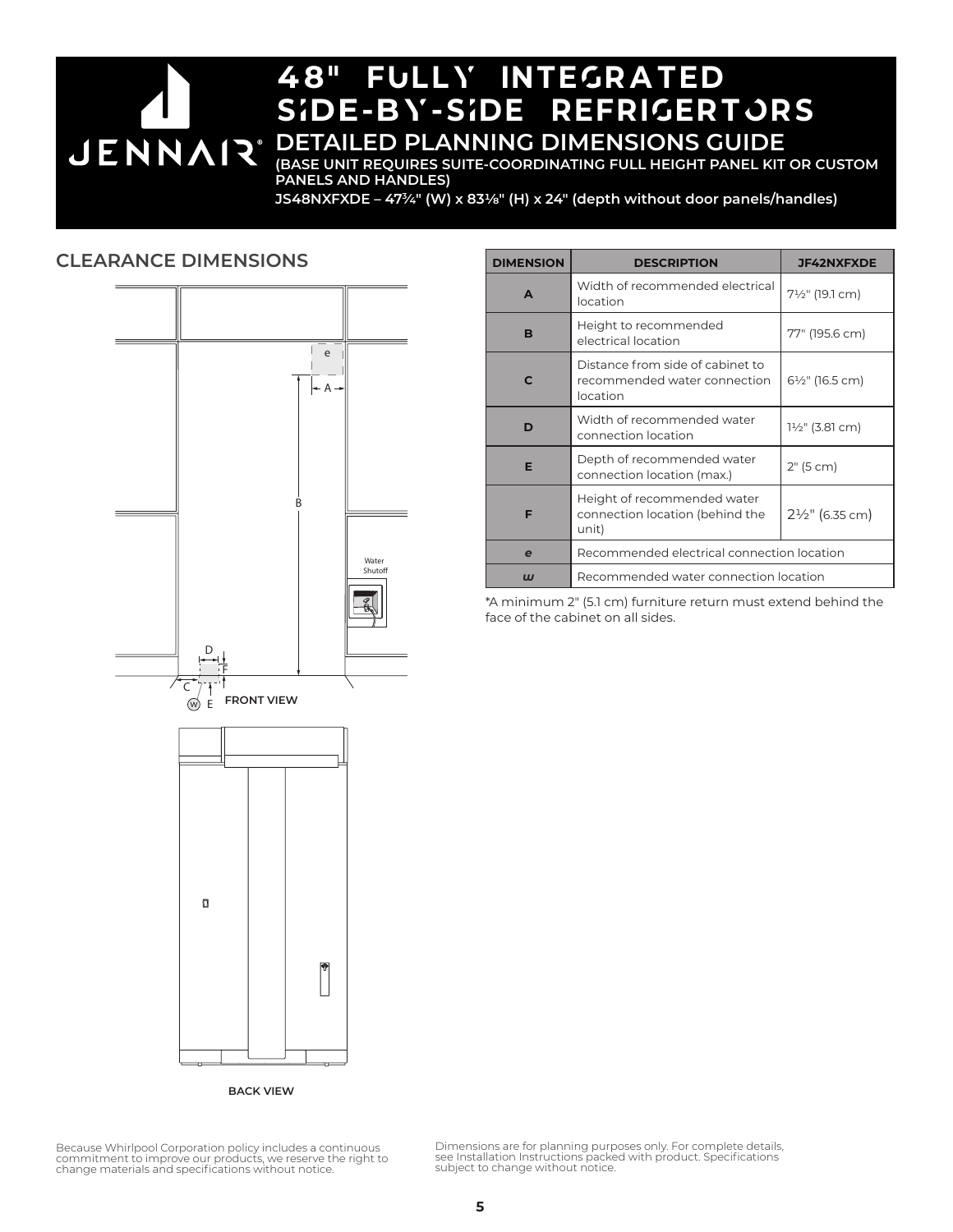# 48" fUllY inteGrated SIDE-BY-SIDE REFRIGERTORS **DETAILED PLANNING DIMENSIONS GUIDE JENNAIR®**

**(BASE UNIT REQUIRES SUITE-COORDINATING FULL HEIGHT PANEL KIT OR CUSTOM PANELS AND HANDLES)**

**JS48NXFXDE – 473⁄4" (W) x 831/8" (H) x 24" (depth without door panels/handles)**

#### **CLEARANCE DIMENSIONS**



| <b>DIMENSION</b>          | <b>DESCRIPTION</b>                                                           | <b>JF42NXFXDE</b>          |  |
|---------------------------|------------------------------------------------------------------------------|----------------------------|--|
| A                         | Width of recommended electrical<br>location                                  | 7½" (19.1 cm)              |  |
| в                         | Height to recommended<br>electrical location                                 | 77" (195.6 cm)             |  |
| C                         | Distance from side of cabinet to<br>recommended water connection<br>location | 6½" (16.5 cm)              |  |
| D                         | Width of recommended water<br>connection location                            | 1½" (3.81 cm)              |  |
| Е                         | Depth of recommended water<br>connection location (max.)                     | 2" (5 cm)                  |  |
| F                         | Height of recommended water<br>connection location (behind the<br>unit)      | $2\frac{1}{2}$ " (6.35 cm) |  |
| e                         | Recommended electrical connection location                                   |                            |  |
| $\boldsymbol{\mathsf{u}}$ | Recommended water connection location                                        |                            |  |

\*A minimum 2" (5.1 cm) furniture return must extend behind the face of the cabinet on all sides.

Because Whirlpool Corporation policy includes a continuous commitment to improve our products, we reserve the right to change materials and specifications without notice. Dimensions are for planning purposes only. For complete details, see Installation Instructions packed with product. Specifications subject to change without notice.